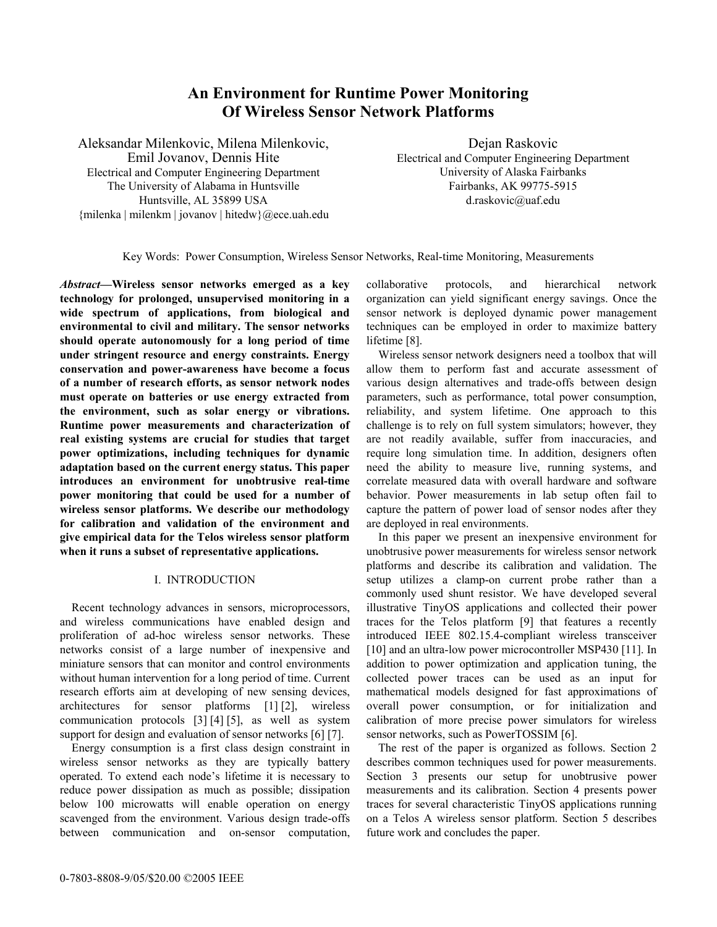# **An Environment for Runtime Power Monitoring Of Wireless Sensor Network Platforms**

Aleksandar Milenkovic, Milena Milenkovic, Emil Jovanov, Dennis Hite Electrical and Computer Engineering Department The University of Alabama in Huntsville Huntsville, AL 35899 USA {milenka | milenkm | jovanov | hitedw}@ece.uah.edu

Dejan Raskovic Electrical and Computer Engineering Department University of Alaska Fairbanks Fairbanks, AK 99775-5915 d.raskovic@uaf.edu

Key Words: Power Consumption, Wireless Sensor Networks, Real-time Monitoring, Measurements

*Abstract***—Wireless sensor networks emerged as a key technology for prolonged, unsupervised monitoring in a wide spectrum of applications, from biological and environmental to civil and military. The sensor networks should operate autonomously for a long period of time under stringent resource and energy constraints. Energy conservation and power-awareness have become a focus of a number of research efforts, as sensor network nodes must operate on batteries or use energy extracted from the environment, such as solar energy or vibrations. Runtime power measurements and characterization of real existing systems are crucial for studies that target power optimizations, including techniques for dynamic adaptation based on the current energy status. This paper introduces an environment for unobtrusive real-time power monitoring that could be used for a number of wireless sensor platforms. We describe our methodology for calibration and validation of the environment and give empirical data for the Telos wireless sensor platform when it runs a subset of representative applications.** 

## I. INTRODUCTION

 Recent technology advances in sensors, microprocessors, and wireless communications have enabled design and proliferation of ad-hoc wireless sensor networks. These networks consist of a large number of inexpensive and miniature sensors that can monitor and control environments without human intervention for a long period of time. Current research efforts aim at developing of new sensing devices, architectures for sensor platforms [1] [2], wireless communication protocols [3] [4] [5], as well as system support for design and evaluation of sensor networks [6] [7].

 Energy consumption is a first class design constraint in wireless sensor networks as they are typically battery operated. To extend each node's lifetime it is necessary to reduce power dissipation as much as possible; dissipation below 100 microwatts will enable operation on energy scavenged from the environment. Various design trade-offs between communication and on-sensor computation, collaborative protocols, and hierarchical network organization can yield significant energy savings. Once the sensor network is deployed dynamic power management techniques can be employed in order to maximize battery lifetime [8].

 Wireless sensor network designers need a toolbox that will allow them to perform fast and accurate assessment of various design alternatives and trade-offs between design parameters, such as performance, total power consumption, reliability, and system lifetime. One approach to this challenge is to rely on full system simulators; however, they are not readily available, suffer from inaccuracies, and require long simulation time. In addition, designers often need the ability to measure live, running systems, and correlate measured data with overall hardware and software behavior. Power measurements in lab setup often fail to capture the pattern of power load of sensor nodes after they are deployed in real environments.

 In this paper we present an inexpensive environment for unobtrusive power measurements for wireless sensor network platforms and describe its calibration and validation. The setup utilizes a clamp-on current probe rather than a commonly used shunt resistor. We have developed several illustrative TinyOS applications and collected their power traces for the Telos platform [9] that features a recently introduced IEEE 802.15.4-compliant wireless transceiver [10] and an ultra-low power microcontroller MSP430 [11]. In addition to power optimization and application tuning, the collected power traces can be used as an input for mathematical models designed for fast approximations of overall power consumption, or for initialization and calibration of more precise power simulators for wireless sensor networks, such as PowerTOSSIM [6].

 The rest of the paper is organized as follows. Section 2 describes common techniques used for power measurements. Section 3 presents our setup for unobtrusive power measurements and its calibration. Section 4 presents power traces for several characteristic TinyOS applications running on a Telos A wireless sensor platform. Section 5 describes future work and concludes the paper.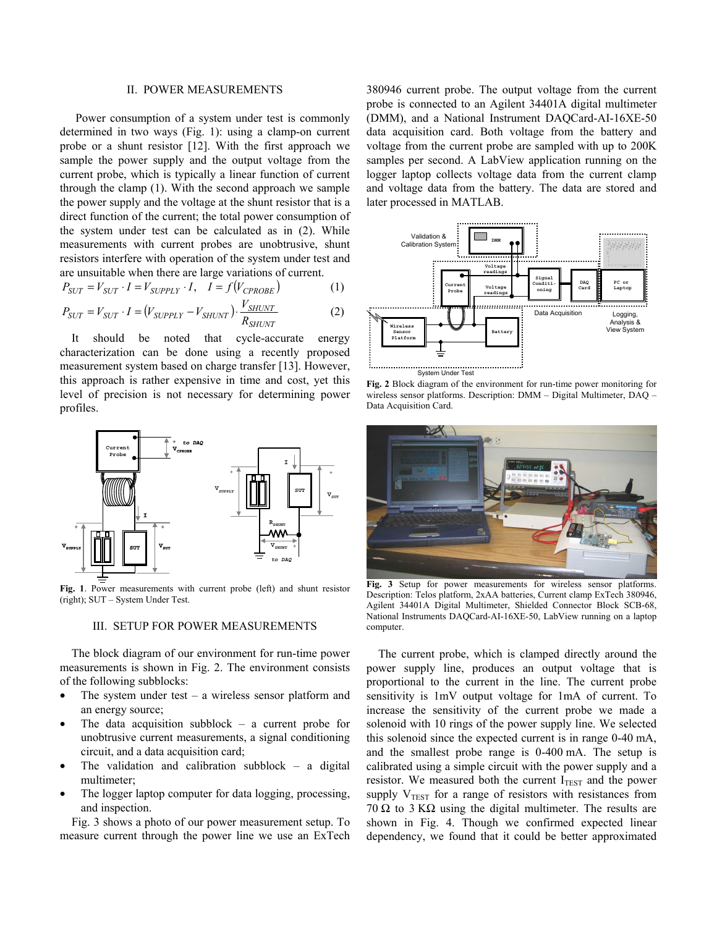### II. POWER MEASUREMENTS

 Power consumption of a system under test is commonly determined in two ways (Fig. 1): using a clamp-on current probe or a shunt resistor [12]. With the first approach we sample the power supply and the output voltage from the current probe, which is typically a linear function of current through the clamp (1). With the second approach we sample the power supply and the voltage at the shunt resistor that is a direct function of the current; the total power consumption of the system under test can be calculated as in (2). While measurements with current probes are unobtrusive, shunt resistors interfere with operation of the system under test and are unsuitable when there are large variations of current.

$$
P_{SUT} = V_{SUT} \cdot I = V_{SUPPLY} \cdot I, \quad I = f(V_{CPROBE})
$$
 (1)

$$
P_{SUT} = V_{SUT} \cdot I = (V_{SUPPLY} - V_{SHUNT}) \cdot \frac{V_{SHUNT}}{R_{SHUNT}} \tag{2}
$$

 It should be noted that cycle-accurate energy characterization can be done using a recently proposed measurement system based on charge transfer [13]. However, this approach is rather expensive in time and cost, yet this level of precision is not necessary for determining power profiles.



**Fig. 1**. Power measurements with current probe (left) and shunt resistor (right); SUT – System Under Test.

#### III. SETUP FOR POWER MEASUREMENTS

 The block diagram of our environment for run-time power measurements is shown in Fig. 2. The environment consists of the following subblocks:

- The system under test  $-$  a wireless sensor platform and an energy source;
- The data acquisition subblock a current probe for unobtrusive current measurements, a signal conditioning circuit, and a data acquisition card;
- The validation and calibration subblock  $-$  a digital multimeter;
- The logger laptop computer for data logging, processing, and inspection.

 Fig. 3 shows a photo of our power measurement setup. To measure current through the power line we use an ExTech

380946 current probe. The output voltage from the current probe is connected to an Agilent 34401A digital multimeter (DMM), and a National Instrument DAQCard-AI-16XE-50 data acquisition card. Both voltage from the battery and voltage from the current probe are sampled with up to 200K samples per second. A LabView application running on the logger laptop collects voltage data from the current clamp and voltage data from the battery. The data are stored and later processed in MATLAB.



**Fig. 2** Block diagram of the environment for run-time power monitoring for wireless sensor platforms. Description: DMM – Digital Multimeter, DAQ – Data Acquisition Card.



**Fig. 3** Setup for power measurements for wireless sensor platforms. Description: Telos platform, 2xAA batteries, Current clamp ExTech 380946, Agilent 34401A Digital Multimeter, Shielded Connector Block SCB-68, National Instruments DAQCard-AI-16XE-50, LabView running on a laptop computer.

 The current probe, which is clamped directly around the power supply line, produces an output voltage that is proportional to the current in the line. The current probe sensitivity is 1mV output voltage for 1mA of current. To increase the sensitivity of the current probe we made a solenoid with 10 rings of the power supply line. We selected this solenoid since the expected current is in range 0-40 mA, and the smallest probe range is 0-400 mA. The setup is calibrated using a simple circuit with the power supply and a resistor. We measured both the current  $I_{TEST}$  and the power supply  $V_{TEST}$  for a range of resistors with resistances from 70  $\Omega$  to 3 K $\Omega$  using the digital multimeter. The results are shown in Fig. 4. Though we confirmed expected linear dependency, we found that it could be better approximated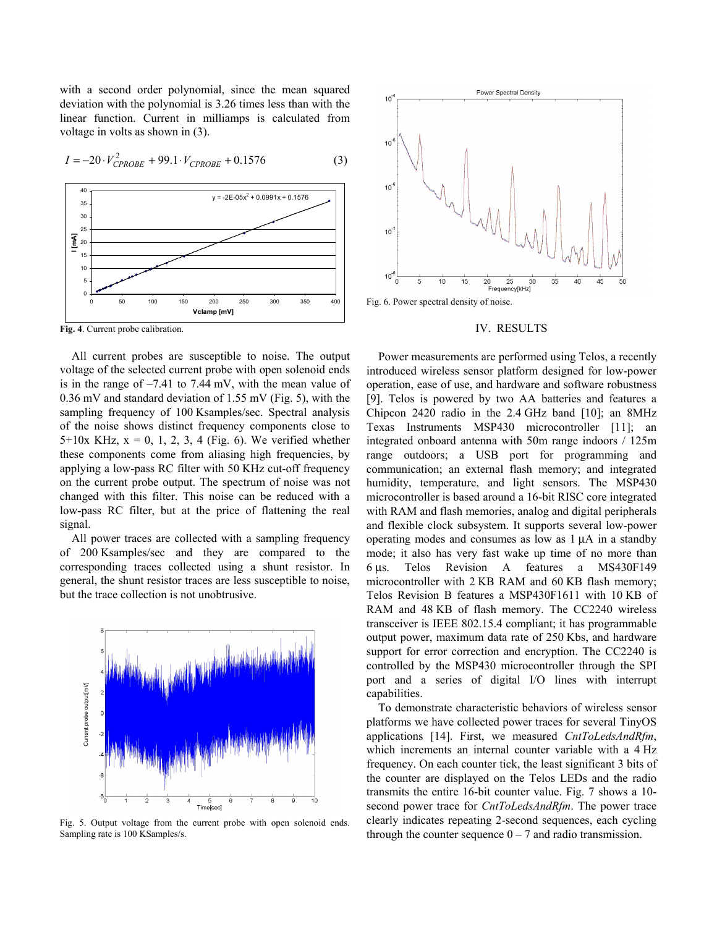with a second order polynomial, since the mean squared deviation with the polynomial is 3.26 times less than with the linear function. Current in milliamps is calculated from voltage in volts as shown in (3).



$$
I = -20 \cdot V_{CPROBE}^2 + 99.1 \cdot V_{CPROBE} + 0.1576 \tag{3}
$$

**Fig. 4**. Current probe calibration.

 All current probes are susceptible to noise. The output voltage of the selected current probe with open solenoid ends is in the range of –7.41 to 7.44 mV, with the mean value of 0.36 mV and standard deviation of 1.55 mV (Fig. 5), with the sampling frequency of 100 Ksamples/sec. Spectral analysis of the noise shows distinct frequency components close to  $5+10x$  KHz,  $x = 0, 1, 2, 3, 4$  (Fig. 6). We verified whether these components come from aliasing high frequencies, by applying a low-pass RC filter with 50 KHz cut-off frequency on the current probe output. The spectrum of noise was not changed with this filter. This noise can be reduced with a low-pass RC filter, but at the price of flattening the real signal.

 All power traces are collected with a sampling frequency of 200 Ksamples/sec and they are compared to the corresponding traces collected using a shunt resistor. In general, the shunt resistor traces are less susceptible to noise, but the trace collection is not unobtrusive.



Fig. 5. Output voltage from the current probe with open solenoid ends. Sampling rate is 100 KSamples/s.



Fig. 6. Power spectral density of noise.

## IV. RESULTS

 Power measurements are performed using Telos, a recently introduced wireless sensor platform designed for low-power operation, ease of use, and hardware and software robustness [9]. Telos is powered by two AA batteries and features a Chipcon 2420 radio in the 2.4 GHz band [10]; an 8MHz Texas Instruments MSP430 microcontroller [11]; an integrated onboard antenna with 50m range indoors / 125m range outdoors; a USB port for programming and communication; an external flash memory; and integrated humidity, temperature, and light sensors. The MSP430 microcontroller is based around a 16-bit RISC core integrated with RAM and flash memories, analog and digital peripherals and flexible clock subsystem. It supports several low-power operating modes and consumes as low as 1 µA in a standby mode; it also has very fast wake up time of no more than 6 µs. Telos Revision A features a MS430F149 microcontroller with 2 KB RAM and 60 KB flash memory; Telos Revision B features a MSP430F1611 with 10 KB of RAM and 48 KB of flash memory. The CC2240 wireless transceiver is IEEE 802.15.4 compliant; it has programmable output power, maximum data rate of 250 Kbs, and hardware support for error correction and encryption. The CC2240 is controlled by the MSP430 microcontroller through the SPI port and a series of digital I/O lines with interrupt capabilities.

 To demonstrate characteristic behaviors of wireless sensor platforms we have collected power traces for several TinyOS applications [14]. First, we measured *CntToLedsAndRfm*, which increments an internal counter variable with a 4 Hz frequency. On each counter tick, the least significant 3 bits of the counter are displayed on the Telos LEDs and the radio transmits the entire 16-bit counter value. Fig. 7 shows a 10 second power trace for *CntToLedsAndRfm*. The power trace clearly indicates repeating 2-second sequences, each cycling through the counter sequence  $0 - 7$  and radio transmission.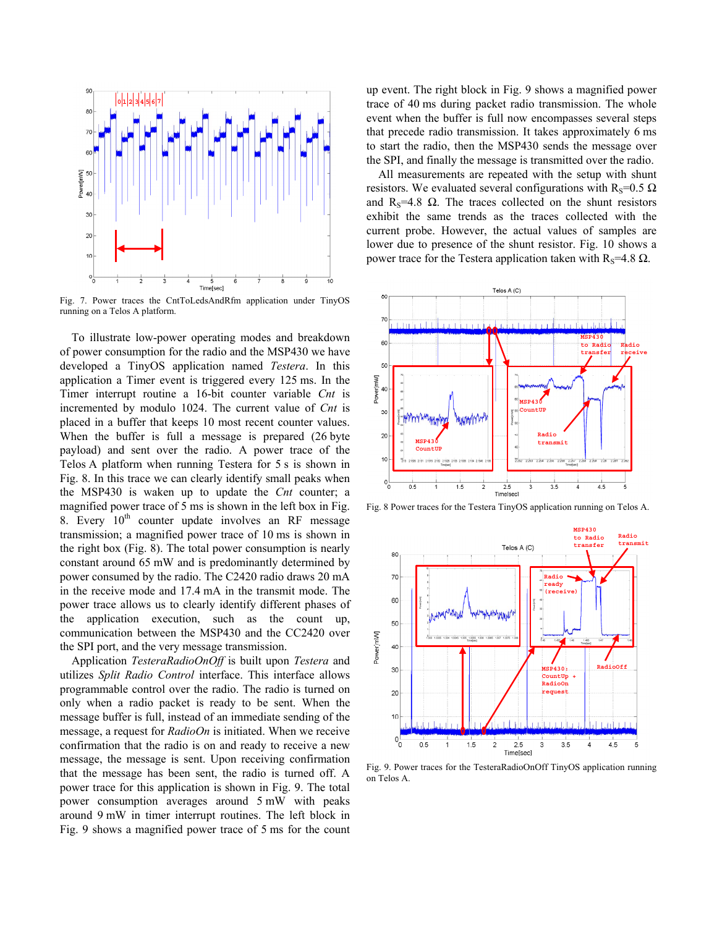

Fig. 7. Power traces the CntToLedsAndRfm application under TinyOS running on a Telos A platform.

 To illustrate low-power operating modes and breakdown of power consumption for the radio and the MSP430 we have developed a TinyOS application named *Testera*. In this application a Timer event is triggered every 125 ms. In the Timer interrupt routine a 16-bit counter variable *Cnt* is incremented by modulo 1024. The current value of *Cnt* is placed in a buffer that keeps 10 most recent counter values. When the buffer is full a message is prepared (26 byte payload) and sent over the radio. A power trace of the Telos A platform when running Testera for 5 s is shown in Fig. 8. In this trace we can clearly identify small peaks when the MSP430 is waken up to update the *Cnt* counter; a magnified power trace of 5 ms is shown in the left box in Fig. 8. Every  $10<sup>th</sup>$  counter update involves an RF message transmission; a magnified power trace of 10 ms is shown in the right box (Fig. 8). The total power consumption is nearly constant around 65 mW and is predominantly determined by power consumed by the radio. The C2420 radio draws 20 mA in the receive mode and 17.4 mA in the transmit mode. The power trace allows us to clearly identify different phases of the application execution, such as the count up, communication between the MSP430 and the CC2420 over the SPI port, and the very message transmission.

 Application *TesteraRadioOnOff* is built upon *Testera* and utilizes *Split Radio Control* interface. This interface allows programmable control over the radio. The radio is turned on only when a radio packet is ready to be sent. When the message buffer is full, instead of an immediate sending of the message, a request for *RadioOn* is initiated. When we receive confirmation that the radio is on and ready to receive a new message, the message is sent. Upon receiving confirmation that the message has been sent, the radio is turned off. A power trace for this application is shown in Fig. 9. The total power consumption averages around 5 mW with peaks around 9 mW in timer interrupt routines. The left block in Fig. 9 shows a magnified power trace of 5 ms for the count up event. The right block in Fig. 9 shows a magnified power trace of 40 ms during packet radio transmission. The whole event when the buffer is full now encompasses several steps that precede radio transmission. It takes approximately 6 ms to start the radio, then the MSP430 sends the message over the SPI, and finally the message is transmitted over the radio.

 All measurements are repeated with the setup with shunt resistors. We evaluated several configurations with R<sub>S</sub>=0.5  $\Omega$ and R<sub>S</sub>=4.8  $\Omega$ . The traces collected on the shunt resistors exhibit the same trends as the traces collected with the current probe. However, the actual values of samples are lower due to presence of the shunt resistor. Fig. 10 shows a power trace for the Testera application taken with  $R_s$ =4.8  $\Omega$ .



Fig. 8 Power traces for the Testera TinyOS application running on Telos A.



Fig. 9. Power traces for the TesteraRadioOnOff TinyOS application running on Telos A.